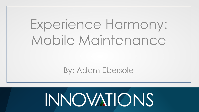# Experience Harmony: Mobile Maintenance

By: Adam Ebersole

# **INNOVATIONS**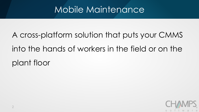## A cross-platform solution that puts your CMMS into the hands of workers in the field or on the plant floor

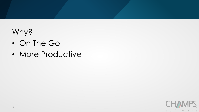#### Why?

- On The Go
- More Productive

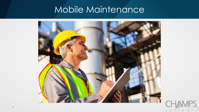

S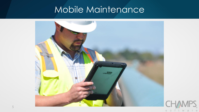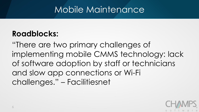#### **Roadblocks:**

"There are two primary challenges of implementing mobile CMMS technology: lack of software adoption by staff or technicians and slow app connections or Wi-Fi challenges." – Facilitiesnet

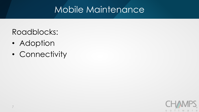#### Roadblocks:

- Adoption
- Connectivity

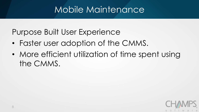Purpose Built User Experience

- Faster user adoption of the CMMS.
- More efficient utilization of time spent using the CMMS.

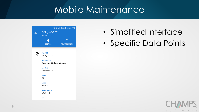| <b>GEN_HC-002</b><br><b>Assets</b>              |                          |  |
|-------------------------------------------------|--------------------------|--|
| <b>DETAILS</b>                                  | ₾<br><b>RELATED WORK</b> |  |
|                                                 |                          |  |
| <b>Asset ID</b><br><b>GEN_HC-002</b>            |                          |  |
| <b>Asset Name</b><br>Generator, Hydrogen Cooled |                          |  |
| Location<br>Cabinet G56                         |                          |  |
| <b>Make</b><br>GE                               |                          |  |
| <b>Model</b><br>33265                           |                          |  |
| <b>Serial Number</b><br>4342115                 |                          |  |
| <b>Type</b>                                     |                          |  |

#### • Simplified Interface

• Specific Data Points

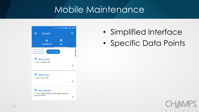|                                                                 | $\circledcirc$ $\circledcirc$ $\bullet$ $\bullet$ 8:49 AM |    |  |
|-----------------------------------------------------------------|-----------------------------------------------------------|----|--|
| <b>Assets</b>                                                   |                                                           |    |  |
| π.<br><b>DASHBOARD</b>                                          | <b>LIST</b>                                               |    |  |
| <b>My Assets</b>                                                | <b>All Assets</b>                                         |    |  |
| <del>∽</del><br><b>GEN_HC-002</b><br>Location Cabinet G56       |                                                           | Ø  |  |
| <b>GEN-HC-001</b><br>Location Room 304                          |                                                           |    |  |
| HVAC-MH-001<br>Location Behind Build 5, in the cage by the rear |                                                           | £э |  |
| guard entrance                                                  |                                                           | П, |  |

- Simplified Interface
- Specific Data Points

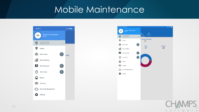

soft

**W** a,  $r$  e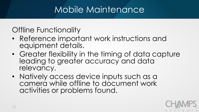#### Offline Functionality

- Reference important work instructions and equipment details.
- Greater flexibility in the timing of data capture leading to greater accuracy and data relevancy.
- Natively access device inputs such as a camera while offline to document work activities or problems found.

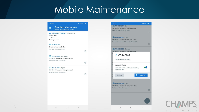| 07:57                     |                                                                                                 |                            | ※ ¥ 号。■   |
|---------------------------|-------------------------------------------------------------------------------------------------|----------------------------|-----------|
|                           | <b>Syncing And Downloaded Content</b>                                                           | <b>Download Management</b> |           |
| Offline Codes<br>Total: 9 | Offline Data Package · Form Codes<br><b>Pending Uploads</b>                                     |                            |           |
|                           | <b>V</b> GEN-HC-001<br>Generator, Hydrogen Cooled<br>Hydrogen Cooled Generator                  |                            | ø         |
|                           | WO-14-0085 · Complete<br>GEN-HC-001 Generator, Hydrogen Cooled<br>Battery needs to be replaced. |                            | G         |
|                           | MO-19-0094 · Open<br>GEN-HC-001 Generator, Hydrogen Cooled<br>Battery needs to be replaced.     |                            | M         |
|                           |                                                                                                 |                            |           |
|                           |                                                                                                 |                            | $\langle$ |



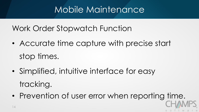Work Order Stopwatch Function

- Accurate time capture with precise start stop times.
- Simplified, intuitive interface for easy tracking.
- Prevention of user error when reporting time.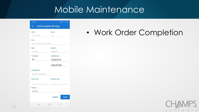| 多難合調<br>08:08                   |                                          |  |  |
|---------------------------------|------------------------------------------|--|--|
| $\leftarrow$                    | <b>Field Complete WO Step</b>            |  |  |
| WO ID                           | <b>Step ID</b>                           |  |  |
| WO-14-0049                      | 001                                      |  |  |
| Desc.                           |                                          |  |  |
| routine inspection of generator |                                          |  |  |
| <b>State</b>                    | <b>Assign To</b>                         |  |  |
| Complete                        | -Assign To-                              |  |  |
| % Complete                      | <b>Complete Date</b>                     |  |  |
| 100                             | 3/28/2018<br>4:06:25 PM                  |  |  |
|                                 |                                          |  |  |
| <b>Completed By</b>             |                                          |  |  |
| Adam Ebersole                   |                                          |  |  |
| <b>Failure Code</b>             | <b>Condition Code</b>                    |  |  |
| Remarks                         |                                          |  |  |
| -Remarks-                       |                                          |  |  |
|                                 | <b>CANCEL</b><br><b>DONE</b>             |  |  |
| Ш                               | $\overline{\left\langle \right\rangle }$ |  |  |

#### • Work Order Completion

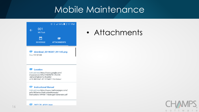

 $\bullet$ download\_20190207\_091145.png Size 117.01 KB

#### C Location

Link address https://www.google.com/ maps/place/28%C2%B052'51.5%22N +82%C2%B032'12.9%22W/ @28 8809842 -82 5374492 197/data=1

#### e **Instructional Manual**

Link address https://www.mathesongas.com/ pdfs/litCenter/InstructionManuals/ Instructions-HPNM-1-Hydrogen-Generator.pdf

2 39T170 AS01 inen

#### • Attachments